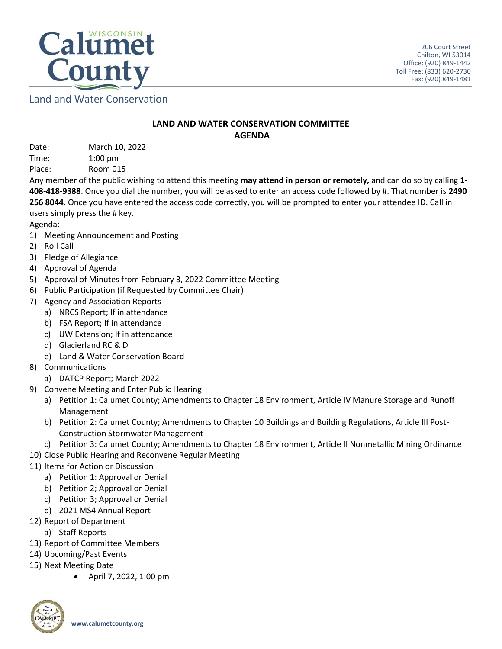

Land and Water Conservation

## **LAND AND WATER CONSERVATION COMMITTEE AGENDA**

Date: March 10, 2022 Time: 1:00 pm

Place: Room 015

Any member of the public wishing to attend this meeting **may attend in person or remotely,** and can do so by calling **1- 408-418-9388**. Once you dial the number, you will be asked to enter an access code followed by #. That number is **2490 256 8044**. Once you have entered the access code correctly, you will be prompted to enter your attendee ID. Call in users simply press the # key.

Agenda:

- 1) Meeting Announcement and Posting
- 2) Roll Call
- 3) Pledge of Allegiance
- 4) Approval of Agenda
- 5) Approval of Minutes from February 3, 2022 Committee Meeting
- 6) Public Participation (if Requested by Committee Chair)
- 7) Agency and Association Reports
	- a) NRCS Report; If in attendance
	- b) FSA Report; If in attendance
	- c) UW Extension; If in attendance
	- d) Glacierland RC & D
	- e) Land & Water Conservation Board
- 8) Communications
	- a) DATCP Report; March 2022
- 9) Convene Meeting and Enter Public Hearing
	- a) Petition 1: Calumet County; Amendments to Chapter 18 Environment, Article IV Manure Storage and Runoff Management
	- b) Petition 2: Calumet County; Amendments to Chapter 10 Buildings and Building Regulations, Article III Post-Construction Stormwater Management
	- c) Petition 3: Calumet County; Amendments to Chapter 18 Environment, Article II Nonmetallic Mining Ordinance
- 10) Close Public Hearing and Reconvene Regular Meeting
- 11) Items for Action or Discussion
	- a) Petition 1: Approval or Denial
	- b) Petition 2; Approval or Denial
	- c) Petition 3; Approval or Denial
	- d) 2021 MS4 Annual Report
- 12) Report of Department
	- a) Staff Reports
- 13) Report of Committee Members
- 14) Upcoming/Past Events
- 15) Next Meeting Date
	- April 7, 2022, 1:00 pm